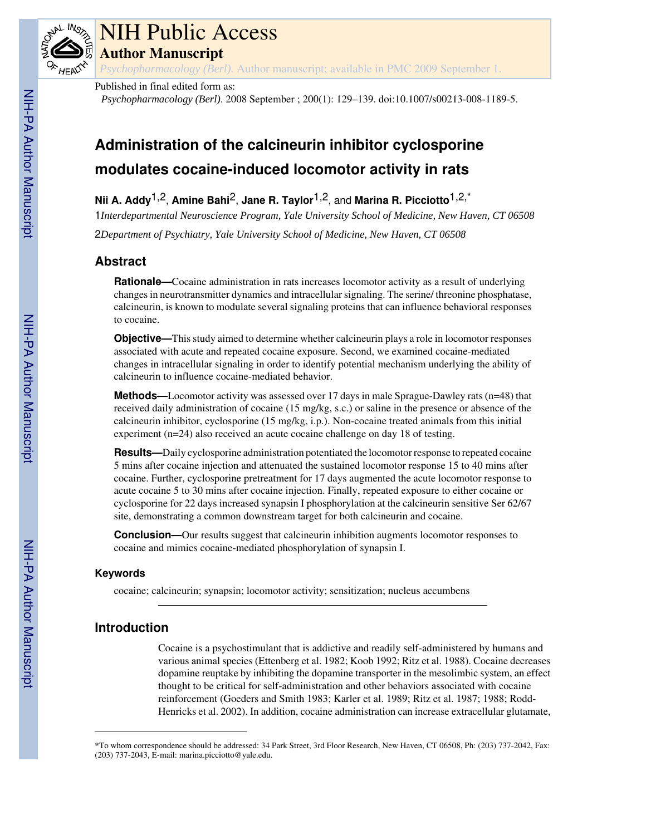

# NIH Public Access

**Author Manuscript**

*Psychopharmacology (Berl)*. Author manuscript; available in PMC 2009 September 1.

#### Published in final edited form as:

*Psychopharmacology (Berl)*. 2008 September ; 200(1): 129–139. doi:10.1007/s00213-008-1189-5.

# **Administration of the calcineurin inhibitor cyclosporine modulates cocaine-induced locomotor activity in rats**

**Nii A. Addy**1,2, **Amine Bahi**2, **Jane R. Taylor**1,2, and **Marina R. Picciotto**1,2,\*

1*Interdepartmental Neuroscience Program, Yale University School of Medicine, New Haven, CT 06508*

2*Department of Psychiatry, Yale University School of Medicine, New Haven, CT 06508*

# **Abstract**

**Rationale—**Cocaine administration in rats increases locomotor activity as a result of underlying changes in neurotransmitter dynamics and intracellular signaling. The serine/ threonine phosphatase, calcineurin, is known to modulate several signaling proteins that can influence behavioral responses to cocaine.

**Objective—**This study aimed to determine whether calcineurin plays a role in locomotor responses associated with acute and repeated cocaine exposure. Second, we examined cocaine-mediated changes in intracellular signaling in order to identify potential mechanism underlying the ability of calcineurin to influence cocaine-mediated behavior.

**Methods—**Locomotor activity was assessed over 17 days in male Sprague-Dawley rats (n=48) that received daily administration of cocaine (15 mg/kg, s.c.) or saline in the presence or absence of the calcineurin inhibitor, cyclosporine (15 mg/kg, i.p.). Non-cocaine treated animals from this initial experiment (n=24) also received an acute cocaine challenge on day 18 of testing.

**Results—**Daily cyclosporine administration potentiated the locomotor response to repeated cocaine 5 mins after cocaine injection and attenuated the sustained locomotor response 15 to 40 mins after cocaine. Further, cyclosporine pretreatment for 17 days augmented the acute locomotor response to acute cocaine 5 to 30 mins after cocaine injection. Finally, repeated exposure to either cocaine or cyclosporine for 22 days increased synapsin I phosphorylation at the calcineurin sensitive Ser 62/67 site, demonstrating a common downstream target for both calcineurin and cocaine.

**Conclusion—**Our results suggest that calcineurin inhibition augments locomotor responses to cocaine and mimics cocaine-mediated phosphorylation of synapsin I.

# **Keywords**

cocaine; calcineurin; synapsin; locomotor activity; sensitization; nucleus accumbens

# **Introduction**

Cocaine is a psychostimulant that is addictive and readily self-administered by humans and various animal species (Ettenberg et al. 1982; Koob 1992; Ritz et al. 1988). Cocaine decreases dopamine reuptake by inhibiting the dopamine transporter in the mesolimbic system, an effect thought to be critical for self-administration and other behaviors associated with cocaine reinforcement (Goeders and Smith 1983; Karler et al. 1989; Ritz et al. 1987; 1988; Rodd-Henricks et al. 2002). In addition, cocaine administration can increase extracellular glutamate,

<sup>\*</sup>To whom correspondence should be addressed: 34 Park Street, 3rd Floor Research, New Haven, CT 06508, Ph: (203) 737-2042, Fax: (203) 737-2043, E-mail: marina.picciotto@yale.edu.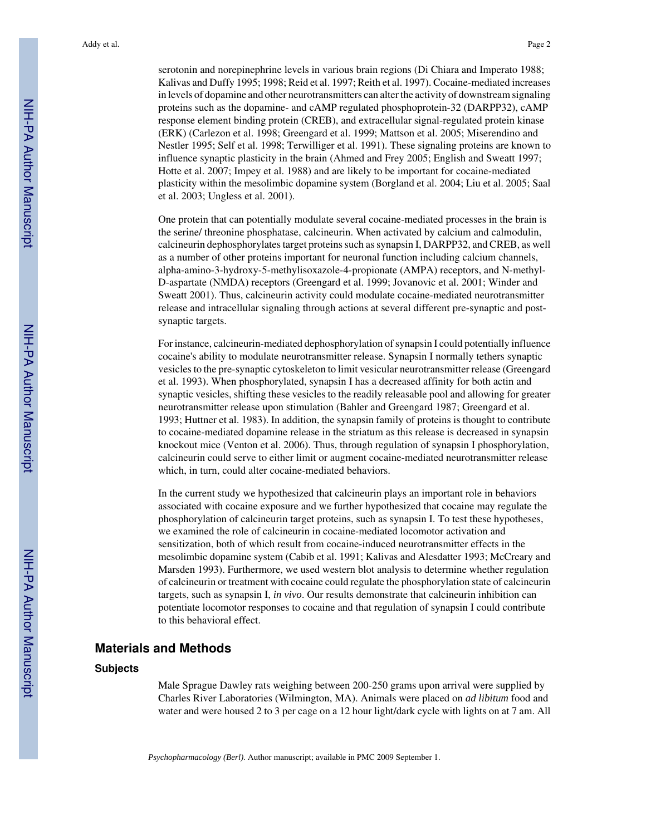serotonin and norepinephrine levels in various brain regions (Di Chiara and Imperato 1988; Kalivas and Duffy 1995; 1998; Reid et al. 1997; Reith et al. 1997). Cocaine-mediated increases in levels of dopamine and other neurotransmitters can alter the activity of downstream signaling proteins such as the dopamine- and cAMP regulated phosphoprotein-32 (DARPP32), cAMP response element binding protein (CREB), and extracellular signal-regulated protein kinase (ERK) (Carlezon et al. 1998; Greengard et al. 1999; Mattson et al. 2005; Miserendino and Nestler 1995; Self et al. 1998; Terwilliger et al. 1991). These signaling proteins are known to influence synaptic plasticity in the brain (Ahmed and Frey 2005; English and Sweatt 1997; Hotte et al. 2007; Impey et al. 1988) and are likely to be important for cocaine-mediated plasticity within the mesolimbic dopamine system (Borgland et al. 2004; Liu et al. 2005; Saal et al. 2003; Ungless et al. 2001).

One protein that can potentially modulate several cocaine-mediated processes in the brain is the serine/ threonine phosphatase, calcineurin. When activated by calcium and calmodulin, calcineurin dephosphorylates target proteins such as synapsin I, DARPP32, and CREB, as well as a number of other proteins important for neuronal function including calcium channels, alpha-amino-3-hydroxy-5-methylisoxazole-4-propionate (AMPA) receptors, and N-methyl-D-aspartate (NMDA) receptors (Greengard et al. 1999; Jovanovic et al. 2001; Winder and Sweatt 2001). Thus, calcineurin activity could modulate cocaine-mediated neurotransmitter release and intracellular signaling through actions at several different pre-synaptic and postsynaptic targets.

For instance, calcineurin-mediated dephosphorylation of synapsin I could potentially influence cocaine's ability to modulate neurotransmitter release. Synapsin I normally tethers synaptic vesicles to the pre-synaptic cytoskeleton to limit vesicular neurotransmitter release (Greengard et al. 1993). When phosphorylated, synapsin I has a decreased affinity for both actin and synaptic vesicles, shifting these vesicles to the readily releasable pool and allowing for greater neurotransmitter release upon stimulation (Bahler and Greengard 1987; Greengard et al. 1993; Huttner et al. 1983). In addition, the synapsin family of proteins is thought to contribute to cocaine-mediated dopamine release in the striatum as this release is decreased in synapsin knockout mice (Venton et al. 2006). Thus, through regulation of synapsin I phosphorylation, calcineurin could serve to either limit or augment cocaine-mediated neurotransmitter release which, in turn, could alter cocaine-mediated behaviors.

In the current study we hypothesized that calcineurin plays an important role in behaviors associated with cocaine exposure and we further hypothesized that cocaine may regulate the phosphorylation of calcineurin target proteins, such as synapsin I. To test these hypotheses, we examined the role of calcineurin in cocaine-mediated locomotor activation and sensitization, both of which result from cocaine-induced neurotransmitter effects in the mesolimbic dopamine system (Cabib et al. 1991; Kalivas and Alesdatter 1993; McCreary and Marsden 1993). Furthermore, we used western blot analysis to determine whether regulation of calcineurin or treatment with cocaine could regulate the phosphorylation state of calcineurin targets, such as synapsin I, *in vivo*. Our results demonstrate that calcineurin inhibition can potentiate locomotor responses to cocaine and that regulation of synapsin I could contribute to this behavioral effect.

#### **Materials and Methods**

#### **Subjects**

Male Sprague Dawley rats weighing between 200-250 grams upon arrival were supplied by Charles River Laboratories (Wilmington, MA). Animals were placed on *ad libitum* food and water and were housed 2 to 3 per cage on a 12 hour light/dark cycle with lights on at 7 am. All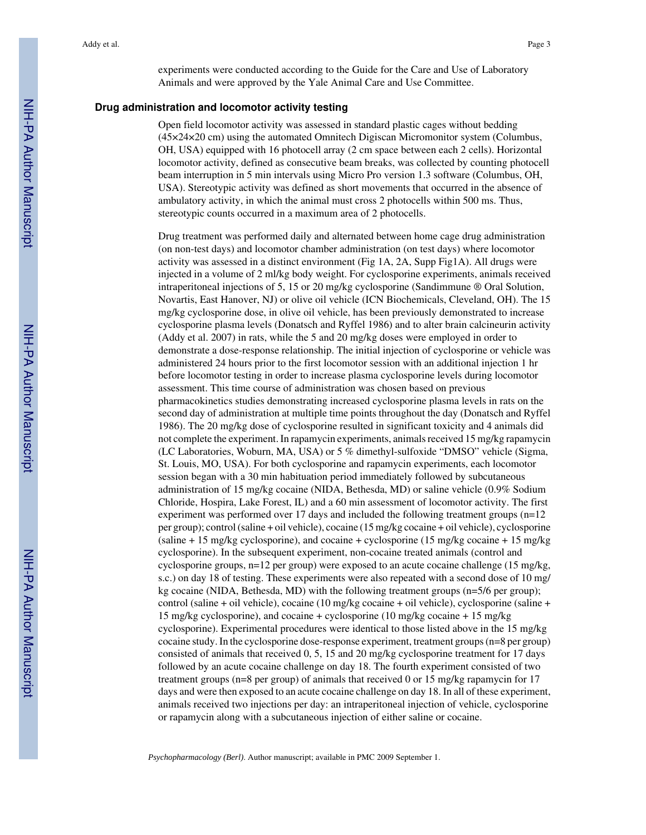experiments were conducted according to the Guide for the Care and Use of Laboratory Animals and were approved by the Yale Animal Care and Use Committee.

#### **Drug administration and locomotor activity testing**

Open field locomotor activity was assessed in standard plastic cages without bedding (45×24×20 cm) using the automated Omnitech Digiscan Micromonitor system (Columbus, OH, USA) equipped with 16 photocell array (2 cm space between each 2 cells). Horizontal locomotor activity, defined as consecutive beam breaks, was collected by counting photocell beam interruption in 5 min intervals using Micro Pro version 1.3 software (Columbus, OH, USA). Stereotypic activity was defined as short movements that occurred in the absence of ambulatory activity, in which the animal must cross 2 photocells within 500 ms. Thus, stereotypic counts occurred in a maximum area of 2 photocells.

Drug treatment was performed daily and alternated between home cage drug administration (on non-test days) and locomotor chamber administration (on test days) where locomotor activity was assessed in a distinct environment (Fig 1A, 2A, Supp Fig1A). All drugs were injected in a volume of 2 ml/kg body weight. For cyclosporine experiments, animals received intraperitoneal injections of 5, 15 or 20 mg/kg cyclosporine (Sandimmune ® Oral Solution, Novartis, East Hanover, NJ) or olive oil vehicle (ICN Biochemicals, Cleveland, OH). The 15 mg/kg cyclosporine dose, in olive oil vehicle, has been previously demonstrated to increase cyclosporine plasma levels (Donatsch and Ryffel 1986) and to alter brain calcineurin activity (Addy et al. 2007) in rats, while the 5 and 20 mg/kg doses were employed in order to demonstrate a dose-response relationship. The initial injection of cyclosporine or vehicle was administered 24 hours prior to the first locomotor session with an additional injection 1 hr before locomotor testing in order to increase plasma cyclosporine levels during locomotor assessment. This time course of administration was chosen based on previous pharmacokinetics studies demonstrating increased cyclosporine plasma levels in rats on the second day of administration at multiple time points throughout the day (Donatsch and Ryffel 1986). The 20 mg/kg dose of cyclosporine resulted in significant toxicity and 4 animals did not complete the experiment. In rapamycin experiments, animals received 15 mg/kg rapamycin (LC Laboratories, Woburn, MA, USA) or 5 % dimethyl-sulfoxide "DMSO" vehicle (Sigma, St. Louis, MO, USA). For both cyclosporine and rapamycin experiments, each locomotor session began with a 30 min habituation period immediately followed by subcutaneous administration of 15 mg/kg cocaine (NIDA, Bethesda, MD) or saline vehicle (0.9% Sodium Chloride, Hospira, Lake Forest, IL) and a 60 min assessment of locomotor activity. The first experiment was performed over 17 days and included the following treatment groups  $(n=12)$ per group); control (saline + oil vehicle), cocaine (15 mg/kg cocaine + oil vehicle), cyclosporine (saline + 15 mg/kg cyclosporine), and cocaine + cyclosporine (15 mg/kg cocaine + 15 mg/kg cyclosporine). In the subsequent experiment, non-cocaine treated animals (control and cyclosporine groups,  $n=12$  per group) were exposed to an acute cocaine challenge (15 mg/kg, s.c.) on day 18 of testing. These experiments were also repeated with a second dose of 10 mg/ kg cocaine (NIDA, Bethesda, MD) with the following treatment groups (n=5/6 per group); control (saline + oil vehicle), cocaine (10 mg/kg cocaine + oil vehicle), cyclosporine (saline + 15 mg/kg cyclosporine), and cocaine + cyclosporine (10 mg/kg cocaine + 15 mg/kg cyclosporine). Experimental procedures were identical to those listed above in the 15 mg/kg cocaine study. In the cyclosporine dose-response experiment, treatment groups (n=8 per group) consisted of animals that received 0, 5, 15 and 20 mg/kg cyclosporine treatment for 17 days followed by an acute cocaine challenge on day 18. The fourth experiment consisted of two treatment groups (n=8 per group) of animals that received 0 or 15 mg/kg rapamycin for 17 days and were then exposed to an acute cocaine challenge on day 18. In all of these experiment, animals received two injections per day: an intraperitoneal injection of vehicle, cyclosporine or rapamycin along with a subcutaneous injection of either saline or cocaine.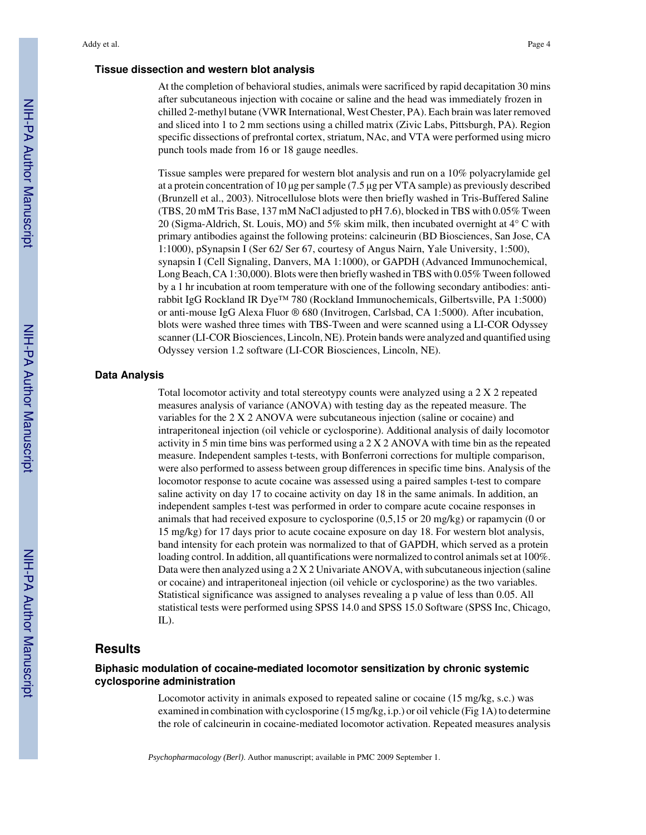#### **Tissue dissection and western blot analysis**

At the completion of behavioral studies, animals were sacrificed by rapid decapitation 30 mins after subcutaneous injection with cocaine or saline and the head was immediately frozen in chilled 2-methyl butane (VWR International, West Chester, PA). Each brain was later removed and sliced into 1 to 2 mm sections using a chilled matrix (Zivic Labs, Pittsburgh, PA). Region specific dissections of prefrontal cortex, striatum, NAc, and VTA were performed using micro punch tools made from 16 or 18 gauge needles.

Tissue samples were prepared for western blot analysis and run on a 10% polyacrylamide gel at a protein concentration of 10 μg per sample (7.5 μg per VTA sample) as previously described (Brunzell et al., 2003). Nitrocellulose blots were then briefly washed in Tris-Buffered Saline (TBS, 20 mM Tris Base, 137 mM NaCl adjusted to pH 7.6), blocked in TBS with 0.05% Tween 20 (Sigma-Aldrich, St. Louis, MO) and 5% skim milk, then incubated overnight at  $4^{\circ}$  C with primary antibodies against the following proteins: calcineurin (BD Biosciences, San Jose, CA 1:1000), pSynapsin I (Ser 62/ Ser 67, courtesy of Angus Nairn, Yale University, 1:500), synapsin I (Cell Signaling, Danvers, MA 1:1000), or GAPDH (Advanced Immunochemical, Long Beach, CA 1:30,000). Blots were then briefly washed in TBS with 0.05% Tween followed by a 1 hr incubation at room temperature with one of the following secondary antibodies: antirabbit IgG Rockland IR Dye™ 780 (Rockland Immunochemicals, Gilbertsville, PA 1:5000) or anti-mouse IgG Alexa Fluor ® 680 (Invitrogen, Carlsbad, CA 1:5000). After incubation, blots were washed three times with TBS-Tween and were scanned using a LI-COR Odyssey scanner (LI-COR Biosciences, Lincoln, NE). Protein bands were analyzed and quantified using Odyssey version 1.2 software (LI-COR Biosciences, Lincoln, NE).

#### **Data Analysis**

Total locomotor activity and total stereotypy counts were analyzed using a 2 X 2 repeated measures analysis of variance (ANOVA) with testing day as the repeated measure. The variables for the 2 X 2 ANOVA were subcutaneous injection (saline or cocaine) and intraperitoneal injection (oil vehicle or cyclosporine). Additional analysis of daily locomotor activity in 5 min time bins was performed using a 2 X 2 ANOVA with time bin as the repeated measure. Independent samples t-tests, with Bonferroni corrections for multiple comparison, were also performed to assess between group differences in specific time bins. Analysis of the locomotor response to acute cocaine was assessed using a paired samples t-test to compare saline activity on day 17 to cocaine activity on day 18 in the same animals. In addition, an independent samples t-test was performed in order to compare acute cocaine responses in animals that had received exposure to cyclosporine (0,5,15 or 20 mg/kg) or rapamycin (0 or 15 mg/kg) for 17 days prior to acute cocaine exposure on day 18. For western blot analysis, band intensity for each protein was normalized to that of GAPDH, which served as a protein loading control. In addition, all quantifications were normalized to control animals set at 100%. Data were then analyzed using a 2 X 2 Univariate ANOVA, with subcutaneous injection (saline or cocaine) and intraperitoneal injection (oil vehicle or cyclosporine) as the two variables. Statistical significance was assigned to analyses revealing a p value of less than 0.05. All statistical tests were performed using SPSS 14.0 and SPSS 15.0 Software (SPSS Inc, Chicago, IL).

## **Results**

#### **Biphasic modulation of cocaine-mediated locomotor sensitization by chronic systemic cyclosporine administration**

Locomotor activity in animals exposed to repeated saline or cocaine (15 mg/kg, s.c.) was examined in combination with cyclosporine (15 mg/kg, i.p.) or oil vehicle (Fig 1A) to determine the role of calcineurin in cocaine-mediated locomotor activation. Repeated measures analysis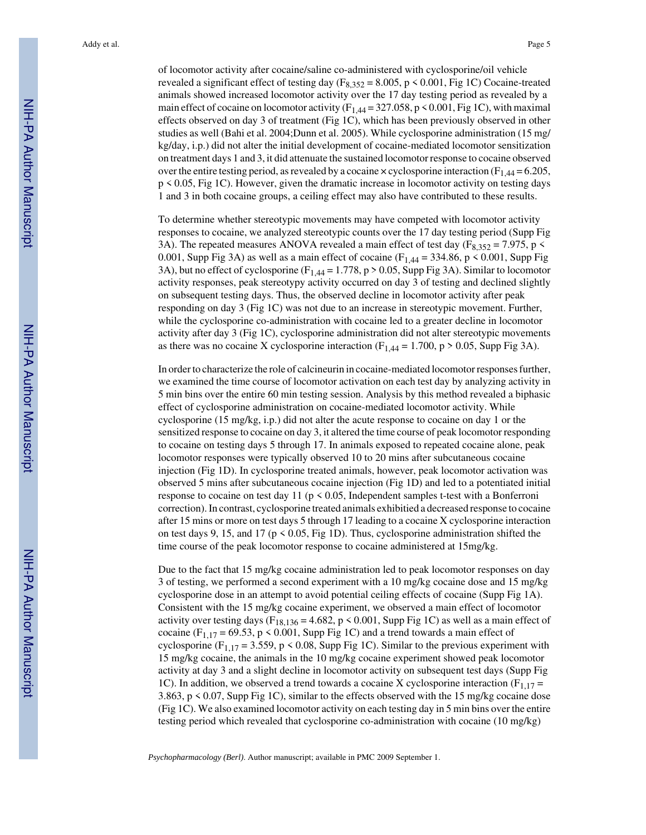of locomotor activity after cocaine/saline co-administered with cyclosporine/oil vehicle revealed a significant effect of testing day ( $F_8$ ,  $352$  = 8.005, p < 0.001, Fig 1C) Cocaine-treated animals showed increased locomotor activity over the 17 day testing period as revealed by a main effect of cocaine on locomotor activity ( $F_{1,44} = 327.058$ , p < 0.001, Fig 1C), with maximal effects observed on day 3 of treatment (Fig 1C), which has been previously observed in other studies as well (Bahi et al. 2004;Dunn et al. 2005). While cyclosporine administration (15 mg/ kg/day, i.p.) did not alter the initial development of cocaine-mediated locomotor sensitization on treatment days 1 and 3, it did attenuate the sustained locomotor response to cocaine observed over the entire testing period, as revealed by a cocaine  $\times$  cyclosporine interaction (F<sub>1</sub>, 44 = 6.205, p < 0.05, Fig 1C). However, given the dramatic increase in locomotor activity on testing days 1 and 3 in both cocaine groups, a ceiling effect may also have contributed to these results.

To determine whether stereotypic movements may have competed with locomotor activity responses to cocaine, we analyzed stereotypic counts over the 17 day testing period (Supp Fig 3A). The repeated measures ANOVA revealed a main effect of test day (F<sub>8,352</sub> = 7.975, p  $\le$ 0.001, Supp Fig 3A) as well as a main effect of cocaine (F<sub>1,44</sub> = 334.86, p < 0.001, Supp Fig 3A), but no effect of cyclosporine ( $F_{1,44} = 1.778$ , p > 0.05, Supp Fig 3A). Similar to locomotor activity responses, peak stereotypy activity occurred on day 3 of testing and declined slightly on subsequent testing days. Thus, the observed decline in locomotor activity after peak responding on day 3 (Fig 1C) was not due to an increase in stereotypic movement. Further, while the cyclosporine co-administration with cocaine led to a greater decline in locomotor activity after day 3 (Fig 1C), cyclosporine administration did not alter stereotypic movements as there was no cocaine X cyclosporine interaction  $(F<sub>1,44</sub> = 1.700, p > 0.05, Supp Fig 3A)$ .

In order to characterize the role of calcineurin in cocaine-mediated locomotor responses further, we examined the time course of locomotor activation on each test day by analyzing activity in 5 min bins over the entire 60 min testing session. Analysis by this method revealed a biphasic effect of cyclosporine administration on cocaine-mediated locomotor activity. While cyclosporine (15 mg/kg, i.p.) did not alter the acute response to cocaine on day 1 or the sensitized response to cocaine on day 3, it altered the time course of peak locomotor responding to cocaine on testing days 5 through 17. In animals exposed to repeated cocaine alone, peak locomotor responses were typically observed 10 to 20 mins after subcutaneous cocaine injection (Fig 1D). In cyclosporine treated animals, however, peak locomotor activation was observed 5 mins after subcutaneous cocaine injection (Fig 1D) and led to a potentiated initial response to cocaine on test day 11 ( $p \le 0.05$ , Independent samples t-test with a Bonferroni correction). In contrast, cyclosporine treated animals exhibitied a decreased response to cocaine after 15 mins or more on test days 5 through 17 leading to a cocaine X cyclosporine interaction on test days 9, 15, and 17 ( $p \le 0.05$ , Fig 1D). Thus, cyclosporine administration shifted the time course of the peak locomotor response to cocaine administered at 15mg/kg.

Due to the fact that 15 mg/kg cocaine administration led to peak locomotor responses on day 3 of testing, we performed a second experiment with a 10 mg/kg cocaine dose and 15 mg/kg cyclosporine dose in an attempt to avoid potential ceiling effects of cocaine (Supp Fig 1A). Consistent with the 15 mg/kg cocaine experiment, we observed a main effect of locomotor activity over testing days ( $F_{18,136} = 4.682$ , p < 0.001, Supp Fig 1C) as well as a main effect of cocaine ( $F_{1,17}$  = 69.53, p < 0.001, Supp Fig 1C) and a trend towards a main effect of cyclosporine (F<sub>1,17</sub> = 3.559, p < 0.08, Supp Fig 1C). Similar to the previous experiment with 15 mg/kg cocaine, the animals in the 10 mg/kg cocaine experiment showed peak locomotor activity at day 3 and a slight decline in locomotor activity on subsequent test days (Supp Fig 1C). In addition, we observed a trend towards a cocaine X cyclosporine interaction ( $F_{1,17}$  = 3.863, p < 0.07, Supp Fig 1C), similar to the effects observed with the 15 mg/kg cocaine dose (Fig 1C). We also examined locomotor activity on each testing day in 5 min bins over the entire testing period which revealed that cyclosporine co-administration with cocaine (10 mg/kg)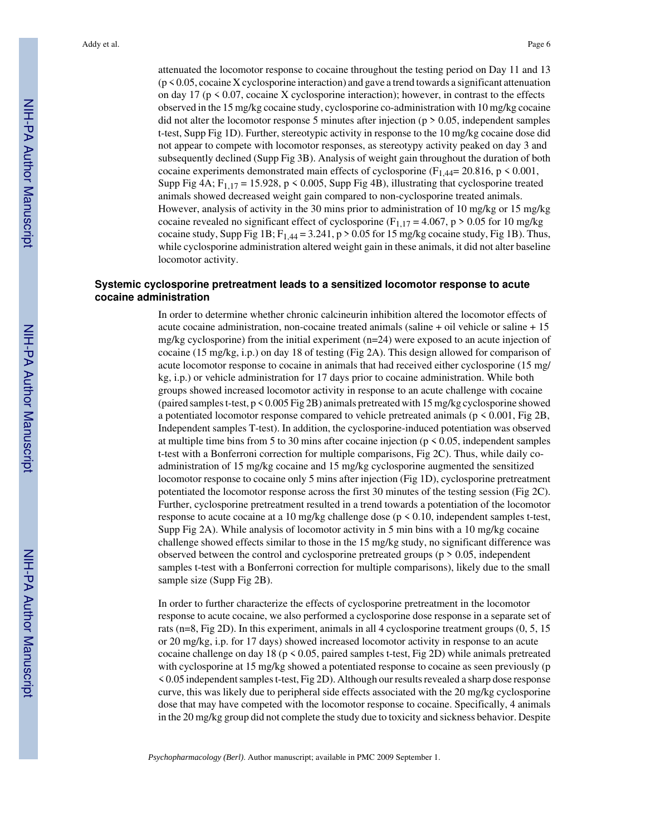attenuated the locomotor response to cocaine throughout the testing period on Day 11 and 13  $(p \le 0.05, \text{cocaine X}$  cyclosporine interaction) and gave a trend towards a significant attenuation on day 17 ( $p \le 0.07$ , cocaine X cyclosporine interaction); however, in contrast to the effects observed in the 15 mg/kg cocaine study, cyclosporine co-administration with 10 mg/kg cocaine did not alter the locomotor response 5 minutes after injection ( $p > 0.05$ , independent samples t-test, Supp Fig 1D). Further, stereotypic activity in response to the 10 mg/kg cocaine dose did not appear to compete with locomotor responses, as stereotypy activity peaked on day 3 and subsequently declined (Supp Fig 3B). Analysis of weight gain throughout the duration of both cocaine experiments demonstrated main effects of cyclosporine ( $F_{1,44}=20.816$ , p < 0.001, Supp Fig 4A;  $F_{1,17} = 15.928$ , p < 0.005, Supp Fig 4B), illustrating that cyclosporine treated animals showed decreased weight gain compared to non-cyclosporine treated animals. However, analysis of activity in the 30 mins prior to administration of 10 mg/kg or 15 mg/kg cocaine revealed no significant effect of cyclosporine (F<sub>1,17</sub> = 4.067, p > 0.05 for 10 mg/kg cocaine study, Supp Fig 1B;  $F_{1,44} = 3.241$ , p > 0.05 for 15 mg/kg cocaine study, Fig 1B). Thus, while cyclosporine administration altered weight gain in these animals, it did not alter baseline locomotor activity.

#### **Systemic cyclosporine pretreatment leads to a sensitized locomotor response to acute cocaine administration**

In order to determine whether chronic calcineurin inhibition altered the locomotor effects of acute cocaine administration, non-cocaine treated animals (saline + oil vehicle or saline + 15 mg/kg cyclosporine) from the initial experiment (n=24) were exposed to an acute injection of cocaine (15 mg/kg, i.p.) on day 18 of testing (Fig 2A). This design allowed for comparison of acute locomotor response to cocaine in animals that had received either cyclosporine (15 mg/ kg, i.p.) or vehicle administration for 17 days prior to cocaine administration. While both groups showed increased locomotor activity in response to an acute challenge with cocaine (paired samples t-test, p < 0.005 Fig 2B) animals pretreated with 15 mg/kg cyclosporine showed a potentiated locomotor response compared to vehicle pretreated animals ( $p \le 0.001$ , Fig 2B, Independent samples T-test). In addition, the cyclosporine-induced potentiation was observed at multiple time bins from 5 to 30 mins after cocaine injection ( $p \le 0.05$ , independent samples t-test with a Bonferroni correction for multiple comparisons, Fig 2C). Thus, while daily coadministration of 15 mg/kg cocaine and 15 mg/kg cyclosporine augmented the sensitized locomotor response to cocaine only 5 mins after injection (Fig 1D), cyclosporine pretreatment potentiated the locomotor response across the first 30 minutes of the testing session (Fig 2C). Further, cyclosporine pretreatment resulted in a trend towards a potentiation of the locomotor response to acute cocaine at a 10 mg/kg challenge dose ( $p \le 0.10$ , independent samples t-test, Supp Fig 2A). While analysis of locomotor activity in 5 min bins with a 10 mg/kg cocaine challenge showed effects similar to those in the 15 mg/kg study, no significant difference was observed between the control and cyclosporine pretreated groups (p > 0.05, independent samples t-test with a Bonferroni correction for multiple comparisons), likely due to the small sample size (Supp Fig 2B).

In order to further characterize the effects of cyclosporine pretreatment in the locomotor response to acute cocaine, we also performed a cyclosporine dose response in a separate set of rats (n=8, Fig 2D). In this experiment, animals in all 4 cyclosporine treatment groups (0, 5, 15 or 20 mg/kg, i.p. for 17 days) showed increased locomotor activity in response to an acute cocaine challenge on day 18 ( $p \le 0.05$ , paired samples t-test, Fig 2D) while animals pretreated with cyclosporine at 15 mg/kg showed a potentiated response to cocaine as seen previously (p < 0.05 independent samples t-test, Fig 2D). Although our results revealed a sharp dose response curve, this was likely due to peripheral side effects associated with the 20 mg/kg cyclosporine dose that may have competed with the locomotor response to cocaine. Specifically, 4 animals in the 20 mg/kg group did not complete the study due to toxicity and sickness behavior. Despite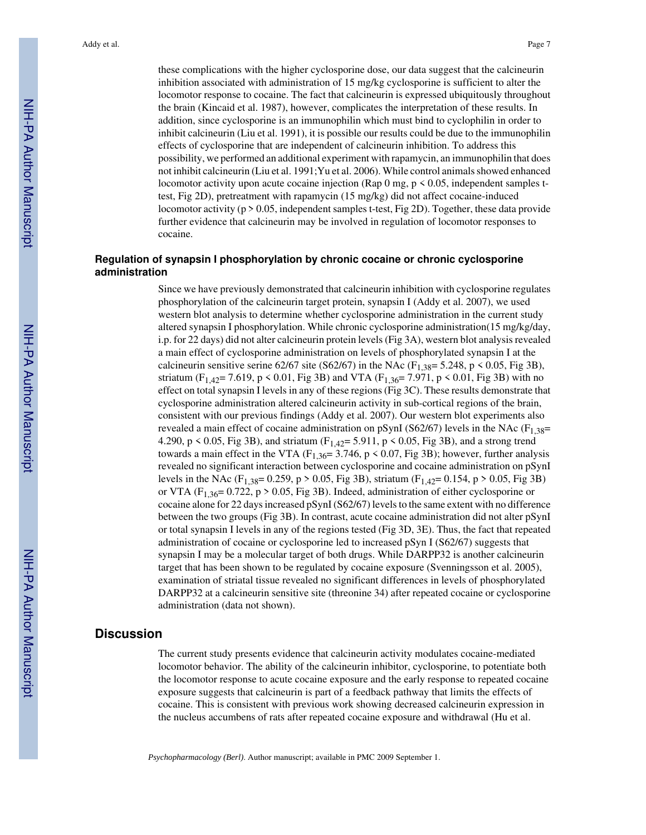cocaine.

these complications with the higher cyclosporine dose, our data suggest that the calcineurin inhibition associated with administration of 15 mg/kg cyclosporine is sufficient to alter the locomotor response to cocaine. The fact that calcineurin is expressed ubiquitously throughout the brain (Kincaid et al. 1987), however, complicates the interpretation of these results. In addition, since cyclosporine is an immunophilin which must bind to cyclophilin in order to inhibit calcineurin (Liu et al. 1991), it is possible our results could be due to the immunophilin effects of cyclosporine that are independent of calcineurin inhibition. To address this possibility, we performed an additional experiment with rapamycin, an immunophilin that does not inhibit calcineurin (Liu et al. 1991;Yu et al. 2006). While control animals showed enhanced locomotor activity upon acute cocaine injection (Rap 0 mg,  $p \le 0.05$ , independent samples ttest, Fig 2D), pretreatment with rapamycin (15 mg/kg) did not affect cocaine-induced locomotor activity ( $p > 0.05$ , independent samples t-test, Fig 2D). Together, these data provide further evidence that calcineurin may be involved in regulation of locomotor responses to

#### **Regulation of synapsin I phosphorylation by chronic cocaine or chronic cyclosporine administration**

Since we have previously demonstrated that calcineurin inhibition with cyclosporine regulates phosphorylation of the calcineurin target protein, synapsin I (Addy et al. 2007), we used western blot analysis to determine whether cyclosporine administration in the current study altered synapsin I phosphorylation. While chronic cyclosporine administration(15 mg/kg/day, i.p. for 22 days) did not alter calcineurin protein levels (Fig 3A), western blot analysis revealed a main effect of cyclosporine administration on levels of phosphorylated synapsin I at the calcineurin sensitive serine 62/67 site (S62/67) in the NAc (F<sub>1,38</sub>= 5.248, p < 0.05, Fig 3B), striatum (F<sub>1,42</sub>= 7.619, p < 0.01, Fig 3B) and VTA (F<sub>1,36</sub>= 7.971, p < 0.01, Fig 3B) with no effect on total synapsin I levels in any of these regions (Fig 3C). These results demonstrate that cyclosporine administration altered calcineurin activity in sub-cortical regions of the brain, consistent with our previous findings (Addy et al. 2007). Our western blot experiments also revealed a main effect of cocaine administration on pSynI (S62/67) levels in the NAc ( $F_{1,38}$ = 4.290, p < 0.05, Fig 3B), and striatum ( $F_{1,42}$ = 5.911, p < 0.05, Fig 3B), and a strong trend towards a main effect in the VTA ( $F_{1,36}$ = 3.746, p < 0.07, Fig 3B); however, further analysis revealed no significant interaction between cyclosporine and cocaine administration on pSynI levels in the NAc (F<sub>1,38</sub>= 0.259, p > 0.05, Fig 3B), striatum (F<sub>1,42</sub>= 0.154, p > 0.05, Fig 3B) or VTA ( $F_{1,36}$ = 0.722, p > 0.05, Fig 3B). Indeed, administration of either cyclosporine or cocaine alone for 22 days increased pSynI (S62/67) levels to the same extent with no difference between the two groups (Fig 3B). In contrast, acute cocaine administration did not alter pSynI or total synapsin I levels in any of the regions tested (Fig 3D, 3E). Thus, the fact that repeated administration of cocaine or cyclosporine led to increased pSyn I (S62/67) suggests that synapsin I may be a molecular target of both drugs. While DARPP32 is another calcineurin target that has been shown to be regulated by cocaine exposure (Svenningsson et al. 2005), examination of striatal tissue revealed no significant differences in levels of phosphorylated DARPP32 at a calcineurin sensitive site (threonine 34) after repeated cocaine or cyclosporine administration (data not shown).

#### **Discussion**

The current study presents evidence that calcineurin activity modulates cocaine-mediated locomotor behavior. The ability of the calcineurin inhibitor, cyclosporine, to potentiate both the locomotor response to acute cocaine exposure and the early response to repeated cocaine exposure suggests that calcineurin is part of a feedback pathway that limits the effects of cocaine. This is consistent with previous work showing decreased calcineurin expression in the nucleus accumbens of rats after repeated cocaine exposure and withdrawal (Hu et al.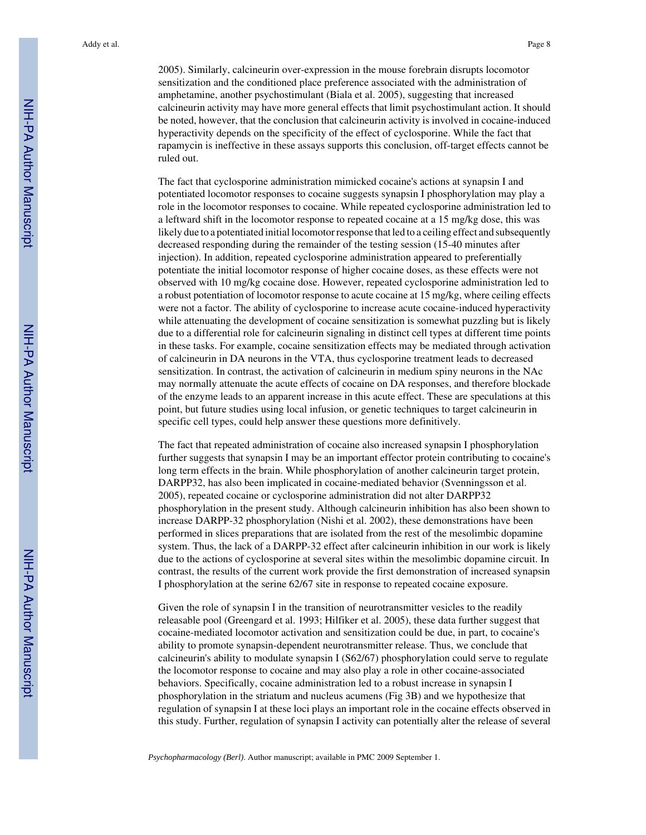2005). Similarly, calcineurin over-expression in the mouse forebrain disrupts locomotor sensitization and the conditioned place preference associated with the administration of amphetamine, another psychostimulant (Biala et al. 2005), suggesting that increased calcineurin activity may have more general effects that limit psychostimulant action. It should be noted, however, that the conclusion that calcineurin activity is involved in cocaine-induced hyperactivity depends on the specificity of the effect of cyclosporine. While the fact that rapamycin is ineffective in these assays supports this conclusion, off-target effects cannot be ruled out.

The fact that cyclosporine administration mimicked cocaine's actions at synapsin I and potentiated locomotor responses to cocaine suggests synapsin I phosphorylation may play a role in the locomotor responses to cocaine. While repeated cyclosporine administration led to a leftward shift in the locomotor response to repeated cocaine at a 15 mg/kg dose, this was likely due to a potentiated initial locomotor response that led to a ceiling effect and subsequently decreased responding during the remainder of the testing session (15-40 minutes after injection). In addition, repeated cyclosporine administration appeared to preferentially potentiate the initial locomotor response of higher cocaine doses, as these effects were not observed with 10 mg/kg cocaine dose. However, repeated cyclosporine administration led to a robust potentiation of locomotor response to acute cocaine at 15 mg/kg, where ceiling effects were not a factor. The ability of cyclosporine to increase acute cocaine-induced hyperactivity while attenuating the development of cocaine sensitization is somewhat puzzling but is likely due to a differential role for calcineurin signaling in distinct cell types at different time points in these tasks. For example, cocaine sensitization effects may be mediated through activation of calcineurin in DA neurons in the VTA, thus cyclosporine treatment leads to decreased sensitization. In contrast, the activation of calcineurin in medium spiny neurons in the NAc may normally attenuate the acute effects of cocaine on DA responses, and therefore blockade of the enzyme leads to an apparent increase in this acute effect. These are speculations at this point, but future studies using local infusion, or genetic techniques to target calcineurin in specific cell types, could help answer these questions more definitively.

The fact that repeated administration of cocaine also increased synapsin I phosphorylation further suggests that synapsin I may be an important effector protein contributing to cocaine's long term effects in the brain. While phosphorylation of another calcineurin target protein, DARPP32, has also been implicated in cocaine-mediated behavior (Svenningsson et al. 2005), repeated cocaine or cyclosporine administration did not alter DARPP32 phosphorylation in the present study. Although calcineurin inhibition has also been shown to increase DARPP-32 phosphorylation (Nishi et al. 2002), these demonstrations have been performed in slices preparations that are isolated from the rest of the mesolimbic dopamine system. Thus, the lack of a DARPP-32 effect after calcineurin inhibition in our work is likely due to the actions of cyclosporine at several sites within the mesolimbic dopamine circuit. In contrast, the results of the current work provide the first demonstration of increased synapsin I phosphorylation at the serine 62/67 site in response to repeated cocaine exposure.

Given the role of synapsin I in the transition of neurotransmitter vesicles to the readily releasable pool (Greengard et al. 1993; Hilfiker et al. 2005), these data further suggest that cocaine-mediated locomotor activation and sensitization could be due, in part, to cocaine's ability to promote synapsin-dependent neurotransmitter release. Thus, we conclude that calcineurin's ability to modulate synapsin I (S62/67) phosphorylation could serve to regulate the locomotor response to cocaine and may also play a role in other cocaine-associated behaviors. Specifically, cocaine administration led to a robust increase in synapsin I phosphorylation in the striatum and nucleus acumens (Fig 3B) and we hypothesize that regulation of synapsin I at these loci plays an important role in the cocaine effects observed in this study. Further, regulation of synapsin I activity can potentially alter the release of several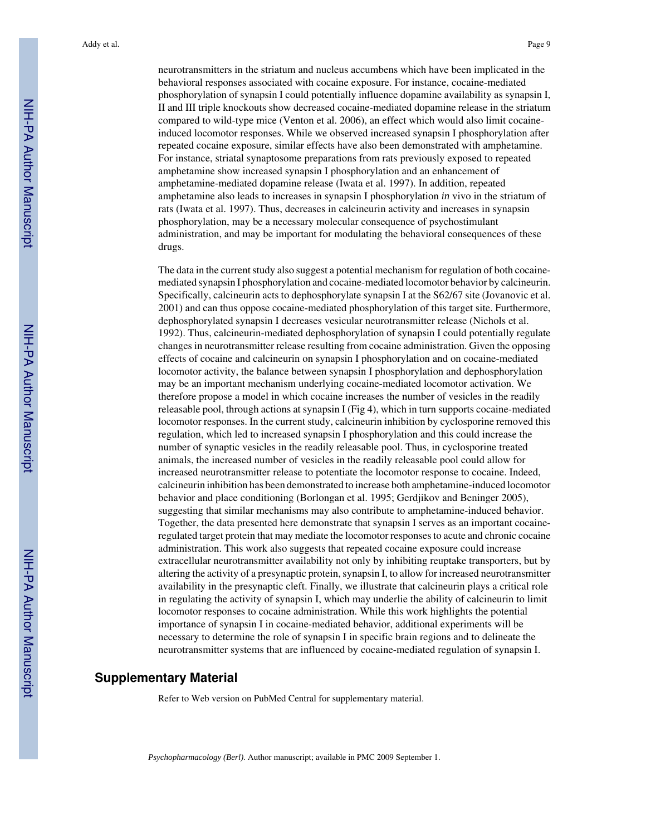neurotransmitters in the striatum and nucleus accumbens which have been implicated in the behavioral responses associated with cocaine exposure. For instance, cocaine-mediated phosphorylation of synapsin I could potentially influence dopamine availability as synapsin I, II and III triple knockouts show decreased cocaine-mediated dopamine release in the striatum compared to wild-type mice (Venton et al. 2006), an effect which would also limit cocaineinduced locomotor responses. While we observed increased synapsin I phosphorylation after repeated cocaine exposure, similar effects have also been demonstrated with amphetamine. For instance, striatal synaptosome preparations from rats previously exposed to repeated amphetamine show increased synapsin I phosphorylation and an enhancement of amphetamine-mediated dopamine release (Iwata et al. 1997). In addition, repeated amphetamine also leads to increases in synapsin I phosphorylation *in* vivo in the striatum of rats (Iwata et al. 1997). Thus, decreases in calcineurin activity and increases in synapsin phosphorylation, may be a necessary molecular consequence of psychostimulant administration, and may be important for modulating the behavioral consequences of these drugs.

The data in the current study also suggest a potential mechanism for regulation of both cocainemediated synapsin I phosphorylation and cocaine-mediated locomotor behavior by calcineurin. Specifically, calcineurin acts to dephosphorylate synapsin I at the S62/67 site (Jovanovic et al. 2001) and can thus oppose cocaine-mediated phosphorylation of this target site. Furthermore, dephosphorylated synapsin I decreases vesicular neurotransmitter release (Nichols et al. 1992). Thus, calcineurin-mediated dephosphorylation of synapsin I could potentially regulate changes in neurotransmitter release resulting from cocaine administration. Given the opposing effects of cocaine and calcineurin on synapsin I phosphorylation and on cocaine-mediated locomotor activity, the balance between synapsin I phosphorylation and dephosphorylation may be an important mechanism underlying cocaine-mediated locomotor activation. We therefore propose a model in which cocaine increases the number of vesicles in the readily releasable pool, through actions at synapsin I (Fig 4), which in turn supports cocaine-mediated locomotor responses. In the current study, calcineurin inhibition by cyclosporine removed this regulation, which led to increased synapsin I phosphorylation and this could increase the number of synaptic vesicles in the readily releasable pool. Thus, in cyclosporine treated animals, the increased number of vesicles in the readily releasable pool could allow for increased neurotransmitter release to potentiate the locomotor response to cocaine. Indeed, calcineurin inhibition has been demonstrated to increase both amphetamine-induced locomotor behavior and place conditioning (Borlongan et al. 1995; Gerdjikov and Beninger 2005), suggesting that similar mechanisms may also contribute to amphetamine-induced behavior. Together, the data presented here demonstrate that synapsin I serves as an important cocaineregulated target protein that may mediate the locomotor responses to acute and chronic cocaine administration. This work also suggests that repeated cocaine exposure could increase extracellular neurotransmitter availability not only by inhibiting reuptake transporters, but by altering the activity of a presynaptic protein, synapsin I, to allow for increased neurotransmitter availability in the presynaptic cleft. Finally, we illustrate that calcineurin plays a critical role in regulating the activity of synapsin I, which may underlie the ability of calcineurin to limit locomotor responses to cocaine administration. While this work highlights the potential importance of synapsin I in cocaine-mediated behavior, additional experiments will be necessary to determine the role of synapsin I in specific brain regions and to delineate the neurotransmitter systems that are influenced by cocaine-mediated regulation of synapsin I.

#### **Supplementary Material**

Refer to Web version on PubMed Central for supplementary material.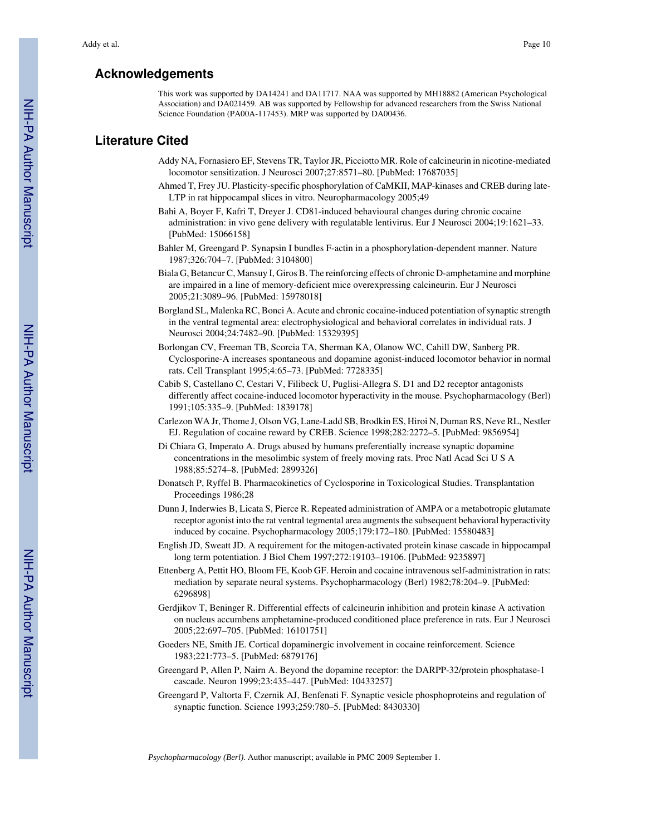#### **Acknowledgements**

This work was supported by DA14241 and DA11717. NAA was supported by MH18882 (American Psychological Association) and DA021459. AB was supported by Fellowship for advanced researchers from the Swiss National Science Foundation (PA00A-117453). MRP was supported by DA00436.

## **Literature Cited**

- Addy NA, Fornasiero EF, Stevens TR, Taylor JR, Picciotto MR. Role of calcineurin in nicotine-mediated locomotor sensitization. J Neurosci 2007;27:8571–80. [PubMed: 17687035]
- Ahmed T, Frey JU. Plasticity-specific phosphorylation of CaMKII, MAP-kinases and CREB during late-LTP in rat hippocampal slices in vitro. Neuropharmacology 2005;49
- Bahi A, Boyer F, Kafri T, Dreyer J. CD81-induced behavioural changes during chronic cocaine administration: in vivo gene delivery with regulatable lentivirus. Eur J Neurosci 2004;19:1621–33. [PubMed: 15066158]
- Bahler M, Greengard P. Synapsin I bundles F-actin in a phosphorylation-dependent manner. Nature 1987;326:704–7. [PubMed: 3104800]
- Biala G, Betancur C, Mansuy I, Giros B. The reinforcing effects of chronic D-amphetamine and morphine are impaired in a line of memory-deficient mice overexpressing calcineurin. Eur J Neurosci 2005;21:3089–96. [PubMed: 15978018]
- Borgland SL, Malenka RC, Bonci A. Acute and chronic cocaine-induced potentiation of synaptic strength in the ventral tegmental area: electrophysiological and behavioral correlates in individual rats. J Neurosci 2004;24:7482–90. [PubMed: 15329395]
- Borlongan CV, Freeman TB, Scorcia TA, Sherman KA, Olanow WC, Cahill DW, Sanberg PR. Cyclosporine-A increases spontaneous and dopamine agonist-induced locomotor behavior in normal rats. Cell Transplant 1995;4:65–73. [PubMed: 7728335]
- Cabib S, Castellano C, Cestari V, Filibeck U, Puglisi-Allegra S. D1 and D2 receptor antagonists differently affect cocaine-induced locomotor hyperactivity in the mouse. Psychopharmacology (Berl) 1991;105:335–9. [PubMed: 1839178]
- Carlezon WA Jr, Thome J, Olson VG, Lane-Ladd SB, Brodkin ES, Hiroi N, Duman RS, Neve RL, Nestler EJ. Regulation of cocaine reward by CREB. Science 1998;282:2272–5. [PubMed: 9856954]
- Di Chiara G, Imperato A. Drugs abused by humans preferentially increase synaptic dopamine concentrations in the mesolimbic system of freely moving rats. Proc Natl Acad Sci U S A 1988;85:5274–8. [PubMed: 2899326]
- Donatsch P, Ryffel B. Pharmacokinetics of Cyclosporine in Toxicological Studies. Transplantation Proceedings 1986;28
- Dunn J, Inderwies B, Licata S, Pierce R. Repeated administration of AMPA or a metabotropic glutamate receptor agonist into the rat ventral tegmental area augments the subsequent behavioral hyperactivity induced by cocaine. Psychopharmacology 2005;179:172–180. [PubMed: 15580483]
- English JD, Sweatt JD. A requirement for the mitogen-activated protein kinase cascade in hippocampal long term potentiation. J Biol Chem 1997;272:19103–19106. [PubMed: 9235897]
- Ettenberg A, Pettit HO, Bloom FE, Koob GF. Heroin and cocaine intravenous self-administration in rats: mediation by separate neural systems. Psychopharmacology (Berl) 1982;78:204–9. [PubMed: 6296898]
- Gerdjikov T, Beninger R. Differential effects of calcineurin inhibition and protein kinase A activation on nucleus accumbens amphetamine-produced conditioned place preference in rats. Eur J Neurosci 2005;22:697–705. [PubMed: 16101751]
- Goeders NE, Smith JE. Cortical dopaminergic involvement in cocaine reinforcement. Science 1983;221:773–5. [PubMed: 6879176]
- Greengard P, Allen P, Nairn A. Beyond the dopamine receptor: the DARPP-32/protein phosphatase-1 cascade. Neuron 1999;23:435–447. [PubMed: 10433257]
- Greengard P, Valtorta F, Czernik AJ, Benfenati F. Synaptic vesicle phosphoproteins and regulation of synaptic function. Science 1993;259:780–5. [PubMed: 8430330]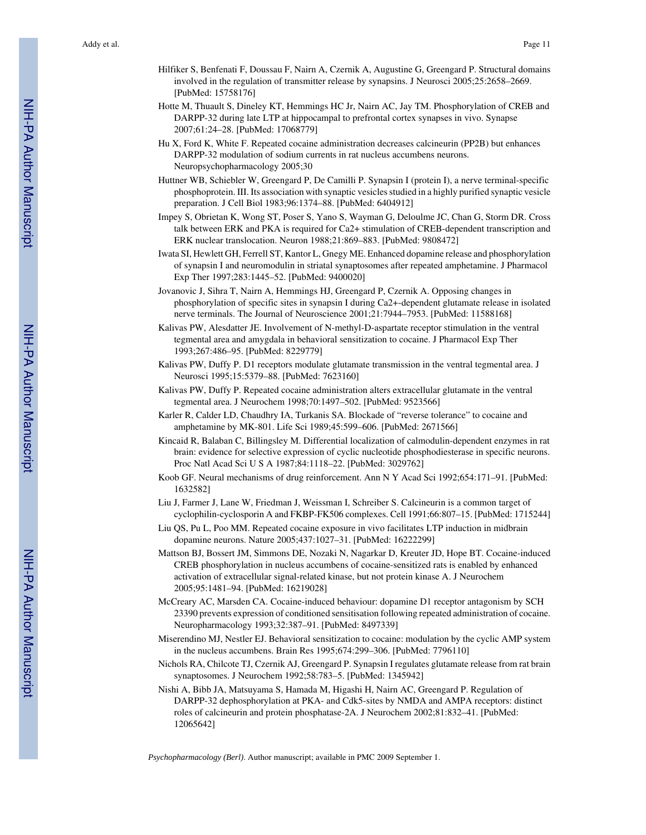- Hilfiker S, Benfenati F, Doussau F, Nairn A, Czernik A, Augustine G, Greengard P. Structural domains involved in the regulation of transmitter release by synapsins. J Neurosci 2005;25:2658–2669. [PubMed: 15758176]
- Hotte M, Thuault S, Dineley KT, Hemmings HC Jr, Nairn AC, Jay TM. Phosphorylation of CREB and DARPP-32 during late LTP at hippocampal to prefrontal cortex synapses in vivo. Synapse 2007;61:24–28. [PubMed: 17068779]
- Hu X, Ford K, White F. Repeated cocaine administration decreases calcineurin (PP2B) but enhances DARPP-32 modulation of sodium currents in rat nucleus accumbens neurons. Neuropsychopharmacology 2005;30
- Huttner WB, Schiebler W, Greengard P, De Camilli P. Synapsin I (protein I), a nerve terminal-specific phosphoprotein. III. Its association with synaptic vesicles studied in a highly purified synaptic vesicle preparation. J Cell Biol 1983;96:1374–88. [PubMed: 6404912]
- Impey S, Obrietan K, Wong ST, Poser S, Yano S, Wayman G, Deloulme JC, Chan G, Storm DR. Cross talk between ERK and PKA is required for Ca2+ stimulation of CREB-dependent transcription and ERK nuclear translocation. Neuron 1988;21:869–883. [PubMed: 9808472]
- Iwata SI, Hewlett GH, Ferrell ST, Kantor L, Gnegy ME. Enhanced dopamine release and phosphorylation of synapsin I and neuromodulin in striatal synaptosomes after repeated amphetamine. J Pharmacol Exp Ther 1997;283:1445–52. [PubMed: 9400020]
- Jovanovic J, Sihra T, Nairn A, Hemmings HJ, Greengard P, Czernik A. Opposing changes in phosphorylation of specific sites in synapsin I during Ca2+-dependent glutamate release in isolated nerve terminals. The Journal of Neuroscience 2001;21:7944–7953. [PubMed: 11588168]
- Kalivas PW, Alesdatter JE. Involvement of N-methyl-D-aspartate receptor stimulation in the ventral tegmental area and amygdala in behavioral sensitization to cocaine. J Pharmacol Exp Ther 1993;267:486–95. [PubMed: 8229779]
- Kalivas PW, Duffy P. D1 receptors modulate glutamate transmission in the ventral tegmental area. J Neurosci 1995;15:5379–88. [PubMed: 7623160]
- Kalivas PW, Duffy P. Repeated cocaine administration alters extracellular glutamate in the ventral tegmental area. J Neurochem 1998;70:1497–502. [PubMed: 9523566]
- Karler R, Calder LD, Chaudhry IA, Turkanis SA. Blockade of "reverse tolerance" to cocaine and amphetamine by MK-801. Life Sci 1989;45:599–606. [PubMed: 2671566]
- Kincaid R, Balaban C, Billingsley M. Differential localization of calmodulin-dependent enzymes in rat brain: evidence for selective expression of cyclic nucleotide phosphodiesterase in specific neurons. Proc Natl Acad Sci U S A 1987;84:1118–22. [PubMed: 3029762]
- Koob GF. Neural mechanisms of drug reinforcement. Ann N Y Acad Sci 1992;654:171–91. [PubMed: 1632582]
- Liu J, Farmer J, Lane W, Friedman J, Weissman I, Schreiber S. Calcineurin is a common target of cyclophilin-cyclosporin A and FKBP-FK506 complexes. Cell 1991;66:807–15. [PubMed: 1715244]
- Liu QS, Pu L, Poo MM. Repeated cocaine exposure in vivo facilitates LTP induction in midbrain dopamine neurons. Nature 2005;437:1027–31. [PubMed: 16222299]
- Mattson BJ, Bossert JM, Simmons DE, Nozaki N, Nagarkar D, Kreuter JD, Hope BT. Cocaine-induced CREB phosphorylation in nucleus accumbens of cocaine-sensitized rats is enabled by enhanced activation of extracellular signal-related kinase, but not protein kinase A. J Neurochem 2005;95:1481–94. [PubMed: 16219028]
- McCreary AC, Marsden CA. Cocaine-induced behaviour: dopamine D1 receptor antagonism by SCH 23390 prevents expression of conditioned sensitisation following repeated administration of cocaine. Neuropharmacology 1993;32:387–91. [PubMed: 8497339]
- Miserendino MJ, Nestler EJ. Behavioral sensitization to cocaine: modulation by the cyclic AMP system in the nucleus accumbens. Brain Res 1995;674:299–306. [PubMed: 7796110]
- Nichols RA, Chilcote TJ, Czernik AJ, Greengard P. Synapsin I regulates glutamate release from rat brain synaptosomes. J Neurochem 1992;58:783–5. [PubMed: 1345942]
- Nishi A, Bibb JA, Matsuyama S, Hamada M, Higashi H, Nairn AC, Greengard P. Regulation of DARPP-32 dephosphorylation at PKA- and Cdk5-sites by NMDA and AMPA receptors: distinct roles of calcineurin and protein phosphatase-2A. J Neurochem 2002;81:832–41. [PubMed: 12065642]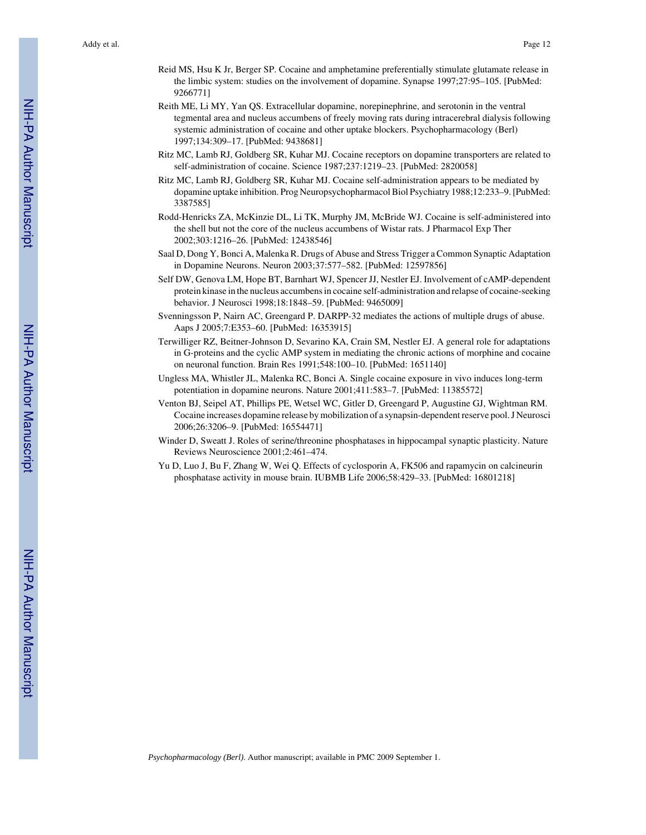- Reid MS, Hsu K Jr, Berger SP. Cocaine and amphetamine preferentially stimulate glutamate release in the limbic system: studies on the involvement of dopamine. Synapse 1997;27:95–105. [PubMed: 9266771]
- Reith ME, Li MY, Yan QS. Extracellular dopamine, norepinephrine, and serotonin in the ventral tegmental area and nucleus accumbens of freely moving rats during intracerebral dialysis following systemic administration of cocaine and other uptake blockers. Psychopharmacology (Berl) 1997;134:309–17. [PubMed: 9438681]
- Ritz MC, Lamb RJ, Goldberg SR, Kuhar MJ. Cocaine receptors on dopamine transporters are related to self-administration of cocaine. Science 1987;237:1219–23. [PubMed: 2820058]
- Ritz MC, Lamb RJ, Goldberg SR, Kuhar MJ. Cocaine self-administration appears to be mediated by dopamine uptake inhibition. Prog Neuropsychopharmacol Biol Psychiatry 1988;12:233–9. [PubMed: 3387585]
- Rodd-Henricks ZA, McKinzie DL, Li TK, Murphy JM, McBride WJ. Cocaine is self-administered into the shell but not the core of the nucleus accumbens of Wistar rats. J Pharmacol Exp Ther 2002;303:1216–26. [PubMed: 12438546]
- Saal D, Dong Y, Bonci A, Malenka R. Drugs of Abuse and Stress Trigger a Common Synaptic Adaptation in Dopamine Neurons. Neuron 2003;37:577–582. [PubMed: 12597856]
- Self DW, Genova LM, Hope BT, Barnhart WJ, Spencer JJ, Nestler EJ. Involvement of cAMP-dependent protein kinase in the nucleus accumbens in cocaine self-administration and relapse of cocaine-seeking behavior. J Neurosci 1998;18:1848–59. [PubMed: 9465009]
- Svenningsson P, Nairn AC, Greengard P. DARPP-32 mediates the actions of multiple drugs of abuse. Aaps J 2005;7:E353–60. [PubMed: 16353915]
- Terwilliger RZ, Beitner-Johnson D, Sevarino KA, Crain SM, Nestler EJ. A general role for adaptations in G-proteins and the cyclic AMP system in mediating the chronic actions of morphine and cocaine on neuronal function. Brain Res 1991;548:100–10. [PubMed: 1651140]
- Ungless MA, Whistler JL, Malenka RC, Bonci A. Single cocaine exposure in vivo induces long-term potentiation in dopamine neurons. Nature 2001;411:583–7. [PubMed: 11385572]
- Venton BJ, Seipel AT, Phillips PE, Wetsel WC, Gitler D, Greengard P, Augustine GJ, Wightman RM. Cocaine increases dopamine release by mobilization of a synapsin-dependent reserve pool. J Neurosci 2006;26:3206–9. [PubMed: 16554471]
- Winder D, Sweatt J. Roles of serine/threonine phosphatases in hippocampal synaptic plasticity. Nature Reviews Neuroscience 2001;2:461–474.
- Yu D, Luo J, Bu F, Zhang W, Wei Q. Effects of cyclosporin A, FK506 and rapamycin on calcineurin phosphatase activity in mouse brain. IUBMB Life 2006;58:429–33. [PubMed: 16801218]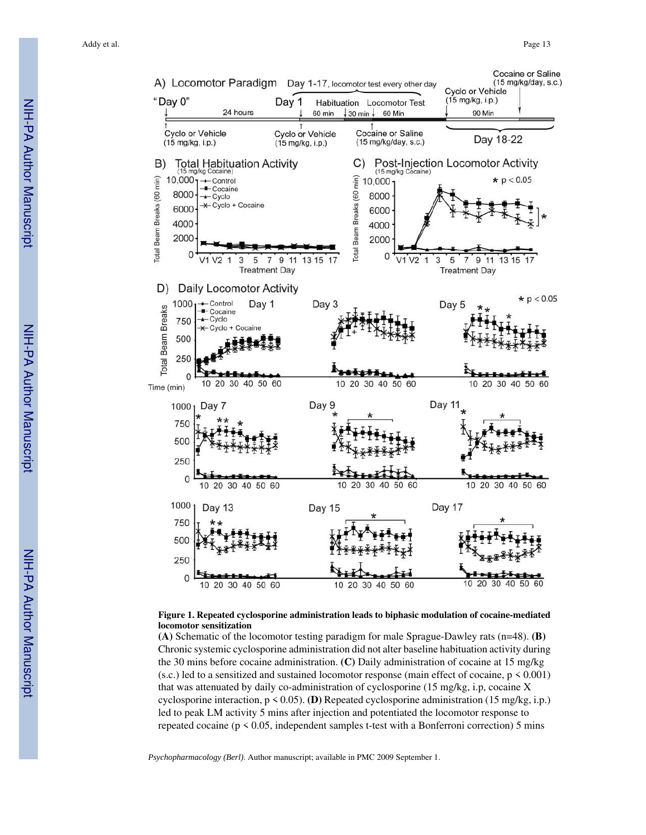



**(A)** Schematic of the locomotor testing paradigm for male Sprague-Dawley rats (n=48). **(B)** Chronic systemic cyclosporine administration did not alter baseline habituation activity during the 30 mins before cocaine administration. **(C)** Daily administration of cocaine at 15 mg/kg  $(s.c.)$  led to a sensitized and sustained locomotor response (main effect of cocaine,  $p \le 0.001$ ) that was attenuated by daily co-administration of cyclosporine (15 mg/kg, i.p, cocaine X cyclosporine interaction, p < 0.05). **(D)** Repeated cyclosporine administration (15 mg/kg, i.p.) led to peak LM activity 5 mins after injection and potentiated the locomotor response to repeated cocaine ( $p \le 0.05$ , independent samples t-test with a Bonferroni correction) 5 mins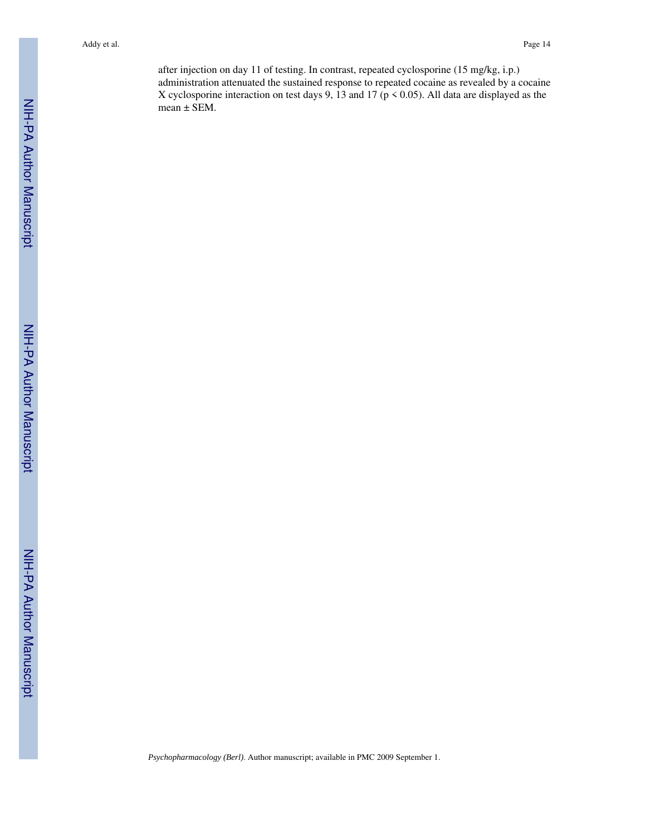after injection on day 11 of testing. In contrast, repeated cyclosporine (15 mg/kg, i.p.) administration attenuated the sustained response to repeated cocaine as revealed by a cocaine X cyclosporine interaction on test days 9, 13 and 17 ( $p \le 0.05$ ). All data are displayed as the mean ± SEM.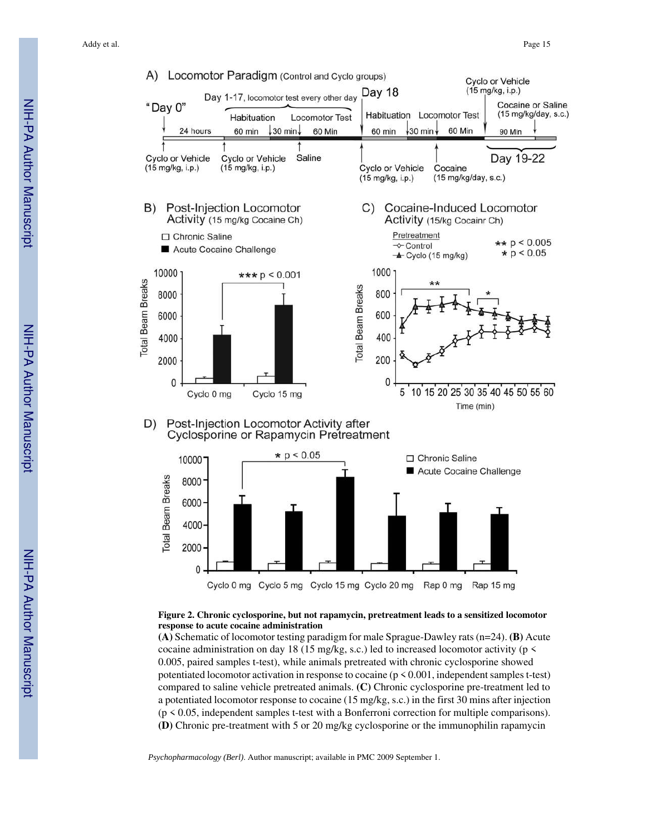

#### **Figure 2. Chronic cyclosporine, but not rapamycin, pretreatment leads to a sensitized locomotor response to acute cocaine administration**

**(A)** Schematic of locomotor testing paradigm for male Sprague-Dawley rats (n=24). **(B)** Acute cocaine administration on day 18 (15 mg/kg, s.c.) led to increased locomotor activity ( $p \le$ 0.005, paired samples t-test), while animals pretreated with chronic cyclosporine showed potentiated locomotor activation in response to cocaine (p < 0.001, independent samples t-test) compared to saline vehicle pretreated animals. **(C)** Chronic cyclosporine pre-treatment led to a potentiated locomotor response to cocaine (15 mg/kg, s.c.) in the first 30 mins after injection  $(p < 0.05$ , independent samples t-test with a Bonferroni correction for multiple comparisons). **(D)** Chronic pre-treatment with 5 or 20 mg/kg cyclosporine or the immunophilin rapamycin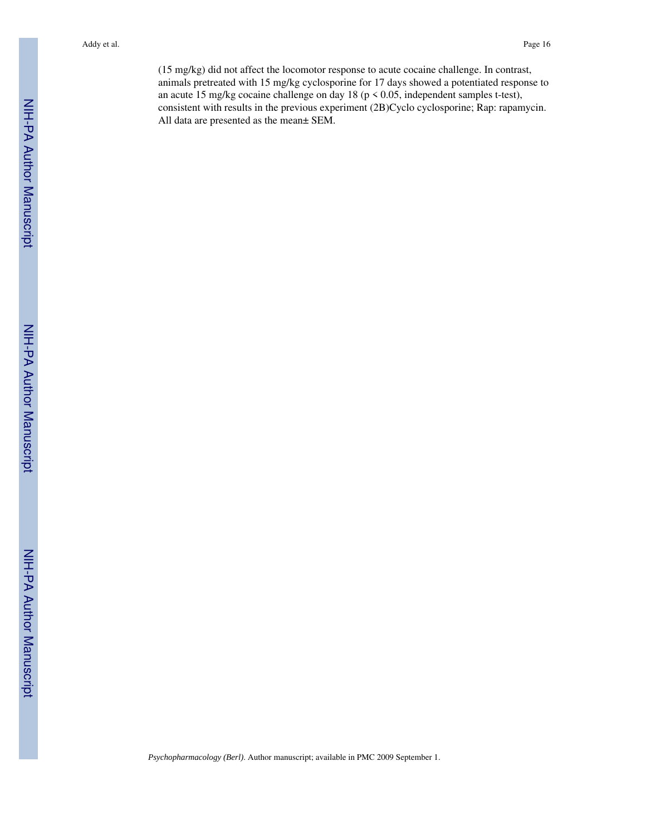(15 mg/kg) did not affect the locomotor response to acute cocaine challenge. In contrast, animals pretreated with 15 mg/kg cyclosporine for 17 days showed a potentiated response to an acute 15 mg/kg cocaine challenge on day 18 (p < 0.05, independent samples t-test), consistent with results in the previous experiment (2B)Cyclo cyclosporine; Rap: rapamycin. All data are presented as the mean± SEM.

NIH-PA Author Manuscript

NIH-PA Author Manuscript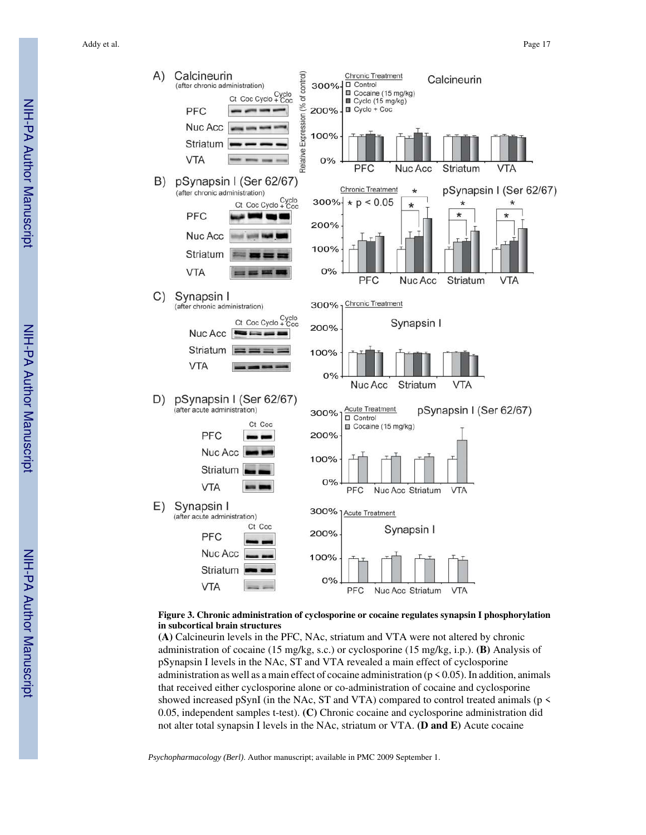

#### **Figure 3. Chronic administration of cyclosporine or cocaine regulates synapsin I phosphorylation in subcortical brain structures**

**(A)** Calcineurin levels in the PFC, NAc, striatum and VTA were not altered by chronic administration of cocaine (15 mg/kg, s.c.) or cyclosporine (15 mg/kg, i.p.). **(B)** Analysis of pSynapsin I levels in the NAc, ST and VTA revealed a main effect of cyclosporine administration as well as a main effect of cocaine administration ( $p \le 0.05$ ). In addition, animals that received either cyclosporine alone or co-administration of cocaine and cyclosporine showed increased pSynI (in the NAc, ST and VTA) compared to control treated animals ( $p \le$ 0.05, independent samples t-test). **(C)** Chronic cocaine and cyclosporine administration did not alter total synapsin I levels in the NAc, striatum or VTA. **(D and E)** Acute cocaine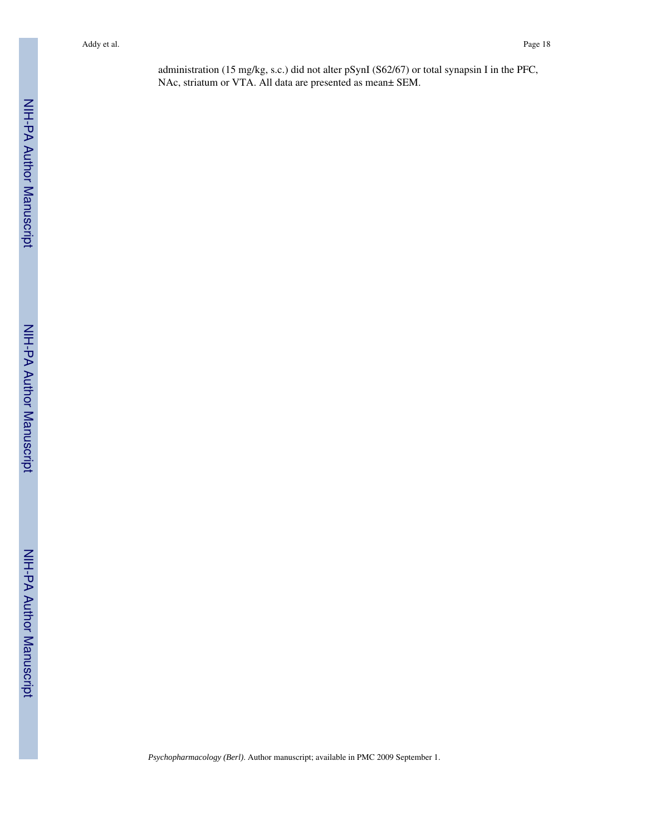administration (15 mg/kg, s.c.) did not alter pSynI (S62/67) or total synapsin I in the PFC, NAc, striatum or VTA. All data are presented as mean± SEM.